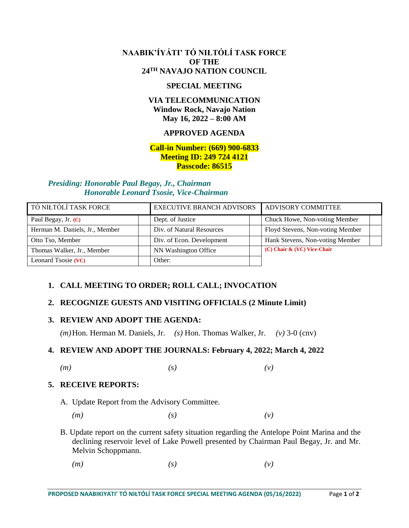## **NAABIK'ÍYÁTI' TÓ NIŁTÓLÍ TASK FORCE OF THE 24TH NAVAJO NATION COUNCIL**

### **SPECIAL MEETING**

# **VIA TELECOMMUNICATION Window Rock, Navajo Nation May 16, 2022 – 8:00 AM**

## **APPROVED AGENDA**

## **Call-in Number: (669) 900-6833 Meeting ID: 249 724 4121 Passcode: 86515**

#### *Presiding: Honorable Paul Begay, Jr., Chairman Honorable Leonard Tsosie, Vice-Chairman*

| TÓ NIŁTÓLÍ TASK FORCE          | <b>EXECUTIVE BRANCH ADVISORS</b> | ADVISORY COMMITTEE               |
|--------------------------------|----------------------------------|----------------------------------|
| Paul Begay, Jr. (C)            | Dept. of Justice                 | Chuck Howe, Non-voting Member    |
| Herman M. Daniels, Jr., Member | Div. of Natural Resources        | Floyd Stevens, Non-voting Member |
| Otto Tso, Member               | Div. of Econ. Development        | Hank Stevens, Non-voting Member  |
| Thomas Walker, Jr., Member     | NN Washington Office             | (C) Chair & (VC) Vice-Chair      |
| Leonard Tsosie (VC)            | Other:                           |                                  |

# **1. CALL MEETING TO ORDER; ROLL CALL; INVOCATION**

### **2. RECOGNIZE GUESTS AND VISITING OFFICIALS (2 Minute Limit)**

### **3. REVIEW AND ADOPT THE AGENDA:**

*(m)*Hon. Herman M. Daniels, Jr. *(s)* Hon. Thomas Walker, Jr. *(v)* 3-0 (cnv)

### **4. REVIEW AND ADOPT THE JOURNALS: February 4, 2022; March 4, 2022**

*(m) (s) (v)*

# **5. RECEIVE REPORTS:**

- A. Update Report from the Advisory Committee.
	- *(m) (s) (v)*
- B. Update report on the current safety situation regarding the Antelope Point Marina and the declining reservoir level of Lake Powell presented by Chairman Paul Begay, Jr. and Mr. Melvin Schoppmann.
	- *(m) (s) (v)*